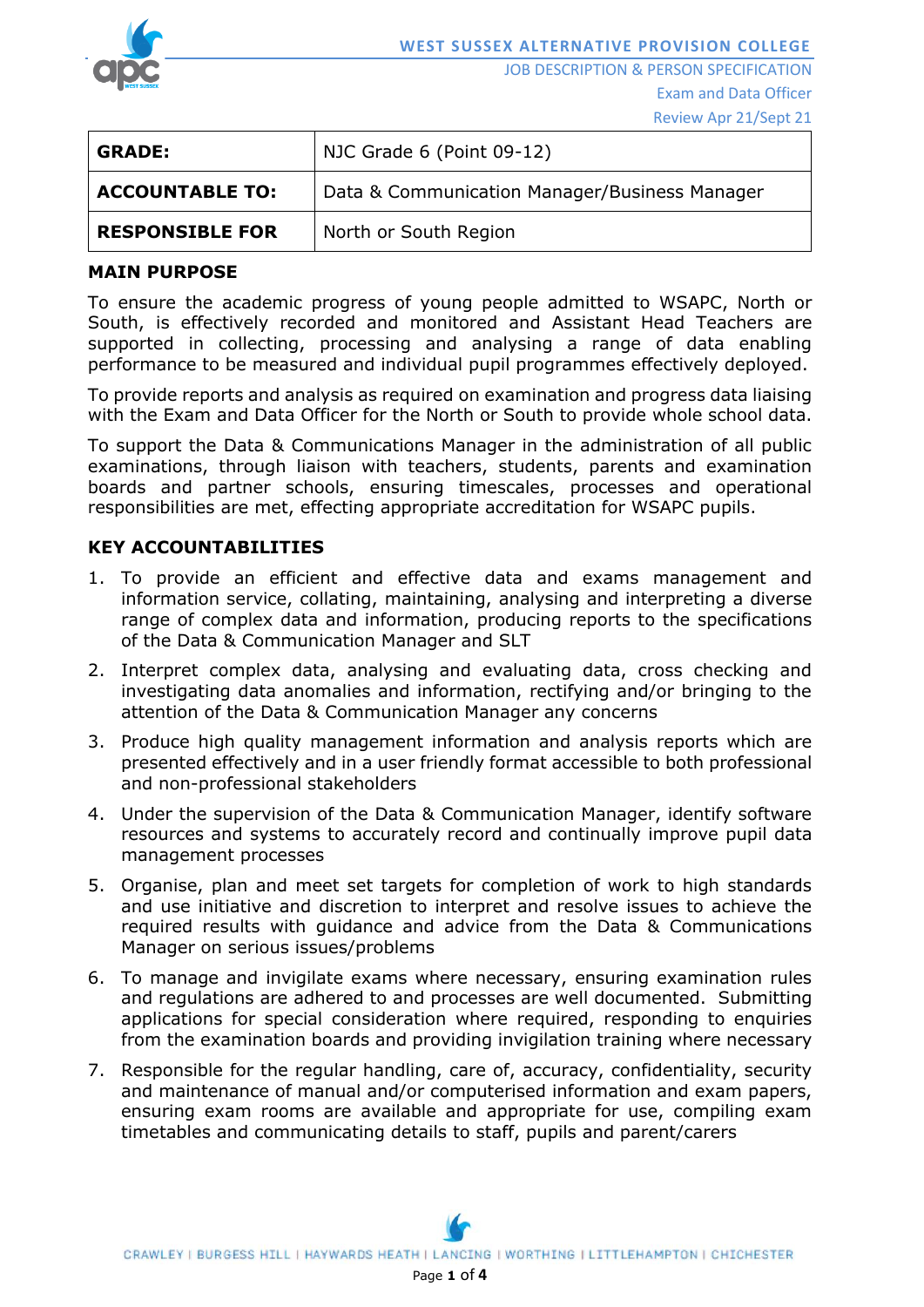

JOB DESCRIPTION & PERSON SPECIFICATION Exam and Data Officer

Review Apr 21/Sept 21

| <b>GRADE:</b>          | NJC Grade 6 (Point 09-12)                     |  |
|------------------------|-----------------------------------------------|--|
| <b>ACCOUNTABLE TO:</b> | Data & Communication Manager/Business Manager |  |
| <b>RESPONSIBLE FOR</b> | North or South Region                         |  |

#### **MAIN PURPOSE**

To ensure the academic progress of young people admitted to WSAPC, North or South, is effectively recorded and monitored and Assistant Head Teachers are supported in collecting, processing and analysing a range of data enabling performance to be measured and individual pupil programmes effectively deployed.

To provide reports and analysis as required on examination and progress data liaising with the Exam and Data Officer for the North or South to provide whole school data.

To support the Data & Communications Manager in the administration of all public examinations, through liaison with teachers, students, parents and examination boards and partner schools, ensuring timescales, processes and operational responsibilities are met, effecting appropriate accreditation for WSAPC pupils.

# **KEY ACCOUNTABILITIES**

- 1. To provide an efficient and effective data and exams management and information service, collating, maintaining, analysing and interpreting a diverse range of complex data and information, producing reports to the specifications of the Data & Communication Manager and SLT
- 2. Interpret complex data, analysing and evaluating data, cross checking and investigating data anomalies and information, rectifying and/or bringing to the attention of the Data & Communication Manager any concerns
- 3. Produce high quality management information and analysis reports which are presented effectively and in a user friendly format accessible to both professional and non-professional stakeholders
- 4. Under the supervision of the Data & Communication Manager, identify software resources and systems to accurately record and continually improve pupil data management processes
- 5. Organise, plan and meet set targets for completion of work to high standards and use initiative and discretion to interpret and resolve issues to achieve the required results with guidance and advice from the Data & Communications Manager on serious issues/problems
- 6. To manage and invigilate exams where necessary, ensuring examination rules and regulations are adhered to and processes are well documented. Submitting applications for special consideration where required, responding to enquiries from the examination boards and providing invigilation training where necessary
- 7. Responsible for the regular handling, care of, accuracy, confidentiality, security and maintenance of manual and/or computerised information and exam papers, ensuring exam rooms are available and appropriate for use, compiling exam timetables and communicating details to staff, pupils and parent/carers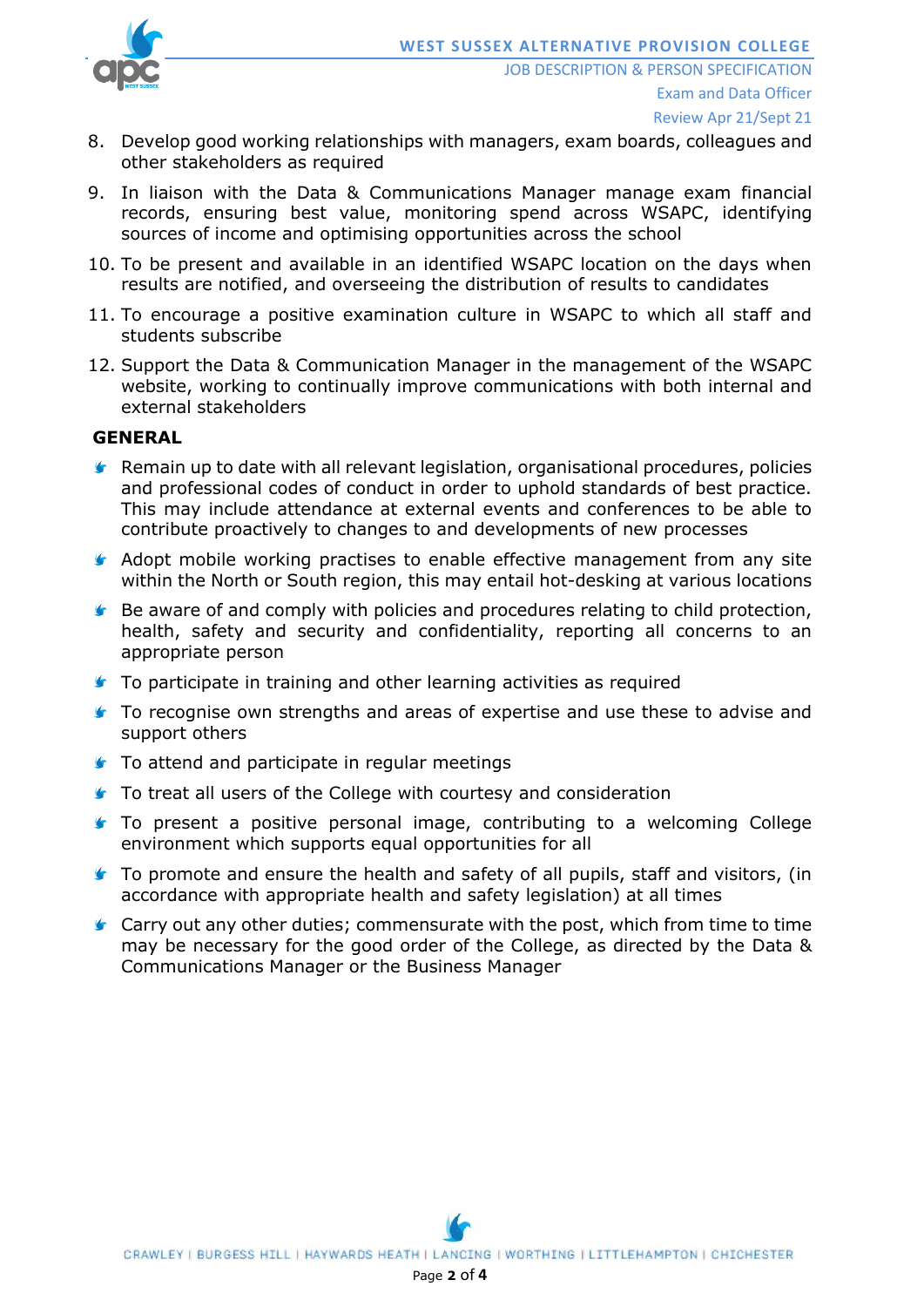

- 8. Develop good working relationships with managers, exam boards, colleagues and other stakeholders as required
- 9. In liaison with the Data & Communications Manager manage exam financial records, ensuring best value, monitoring spend across WSAPC, identifying sources of income and optimising opportunities across the school
- 10. To be present and available in an identified WSAPC location on the days when results are notified, and overseeing the distribution of results to candidates
- 11. To encourage a positive examination culture in WSAPC to which all staff and students subscribe
- 12. Support the Data & Communication Manager in the management of the WSAPC website, working to continually improve communications with both internal and external stakeholders

### **GENERAL**

- **K** Remain up to date with all relevant legislation, organisational procedures, policies and professional codes of conduct in order to uphold standards of best practice. This may include attendance at external events and conferences to be able to contribute proactively to changes to and developments of new processes
- **Adopt mobile working practises to enable effective management from any site** within the North or South region, this may entail hot-desking at various locations
- **Be aware of and comply with policies and procedures relating to child protection,** health, safety and security and confidentiality, reporting all concerns to an appropriate person
- **To participate in training and other learning activities as required**
- **To recognise own strengths and areas of expertise and use these to advise and** support others
- **■** To attend and participate in regular meetings
- **■** To treat all users of the College with courtesy and consideration
- To present a positive personal image, contributing to a welcoming College environment which supports equal opportunities for all
- **To promote and ensure the health and safety of all pupils, staff and visitors, (in** accordance with appropriate health and safety legislation) at all times
- **Carry out any other duties; commensurate with the post, which from time to time** may be necessary for the good order of the College, as directed by the Data & Communications Manager or the Business Manager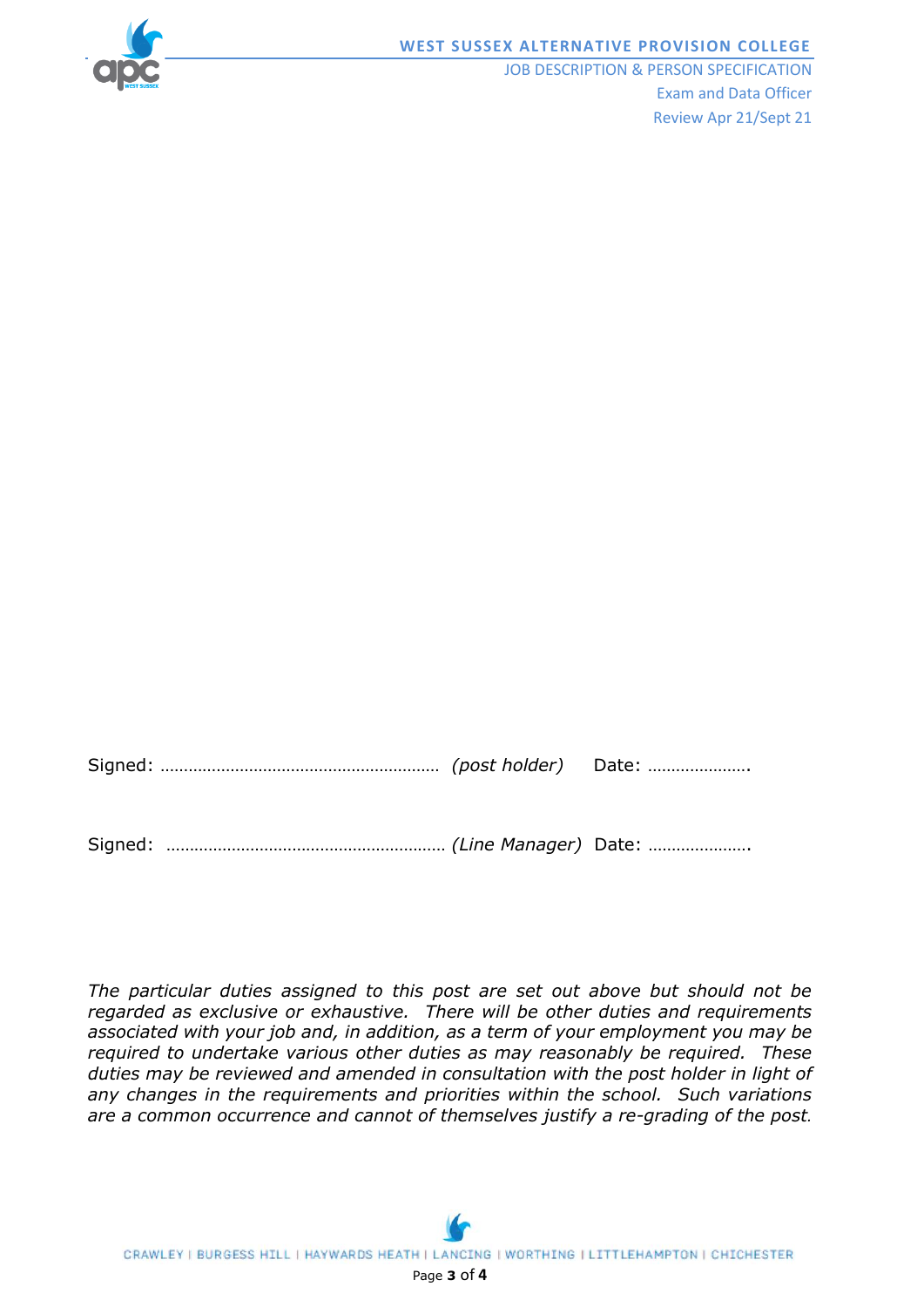

#### **WEST SUSSEX ALTERNATIVE PROVISION COLLEGE**

JOB DESCRIPTION & PERSON SPECIFICATION Exam and Data Officer Review Apr 21/Sept 21

*The particular duties assigned to this post are set out above but should not be regarded as exclusive or exhaustive. There will be other duties and requirements associated with your job and, in addition, as a term of your employment you may be required to undertake various other duties as may reasonably be required. These duties may be reviewed and amended in consultation with the post holder in light of any changes in the requirements and priorities within the school. Such variations are a common occurrence and cannot of themselves justify a re-grading of the post.*